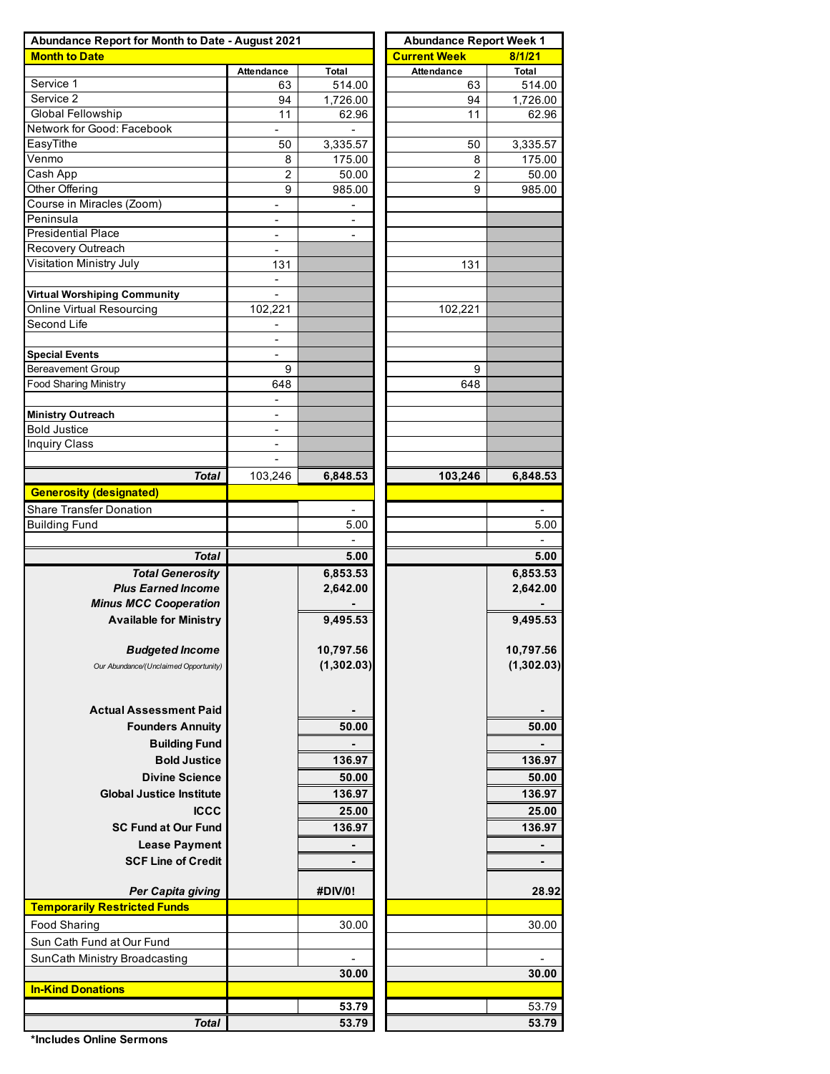| Abundance Report for Month to Date - August 2021                | <b>Abundance Report Week 1</b> |                          |                     |                 |  |  |  |
|-----------------------------------------------------------------|--------------------------------|--------------------------|---------------------|-----------------|--|--|--|
| <b>Month to Date</b>                                            |                                |                          | <b>Current Week</b> | 8/1/21          |  |  |  |
|                                                                 | Attendance                     | Total                    | <b>Attendance</b>   | Total           |  |  |  |
| Service 1                                                       | 63                             | 514.00                   | 63                  | 514.00          |  |  |  |
| Service 2                                                       | 94                             | 1,726.00                 | 94                  | 1,726.00        |  |  |  |
| <b>Global Fellowship</b>                                        | 11                             | 62.96                    | 11                  | 62.96           |  |  |  |
| Network for Good: Facebook                                      | $\blacksquare$                 | $\blacksquare$           |                     |                 |  |  |  |
| EasyTithe<br>Venmo                                              | 50                             | 3,335.57                 | 50                  | 3,335.57        |  |  |  |
| Cash App                                                        | 8<br>2                         | 175.00<br>50.00          | 8<br>2              | 175.00<br>50.00 |  |  |  |
| Other Offering                                                  | 9                              | 985.00                   | 9                   | 985.00          |  |  |  |
| Course in Miracles (Zoom)                                       |                                |                          |                     |                 |  |  |  |
| Peninsula                                                       |                                | $\overline{a}$           |                     |                 |  |  |  |
| <b>Presidential Place</b>                                       | $\overline{\phantom{a}}$       | $\overline{\phantom{a}}$ |                     |                 |  |  |  |
| Recovery Outreach                                               | $\overline{\phantom{a}}$       |                          |                     |                 |  |  |  |
| Visitation Ministry July                                        | 131                            |                          | 131                 |                 |  |  |  |
|                                                                 |                                |                          |                     |                 |  |  |  |
| <b>Virtual Worshiping Community</b>                             |                                |                          |                     |                 |  |  |  |
| Online Virtual Resourcing                                       | 102,221                        |                          | 102,221             |                 |  |  |  |
| Second Life                                                     | $\overline{\phantom{a}}$       |                          |                     |                 |  |  |  |
|                                                                 | $\overline{\phantom{a}}$       |                          |                     |                 |  |  |  |
| <b>Special Events</b>                                           | $\overline{\phantom{a}}$       |                          |                     |                 |  |  |  |
| <b>Bereavement Group</b>                                        | 9                              |                          | 9                   |                 |  |  |  |
| <b>Food Sharing Ministry</b>                                    | 648                            |                          | 648                 |                 |  |  |  |
|                                                                 |                                |                          |                     |                 |  |  |  |
| <b>Ministry Outreach</b>                                        | $\overline{\phantom{a}}$       |                          |                     |                 |  |  |  |
| <b>Bold Justice</b>                                             | $\overline{\phantom{a}}$       |                          |                     |                 |  |  |  |
| <b>Inquiry Class</b>                                            | $\overline{\phantom{a}}$       |                          |                     |                 |  |  |  |
|                                                                 |                                |                          |                     |                 |  |  |  |
| <b>Total</b>                                                    | 103,246                        | 6,848.53                 | 103,246             | 6,848.53        |  |  |  |
| <b>Generosity (designated)</b>                                  |                                |                          |                     |                 |  |  |  |
| <b>Share Transfer Donation</b>                                  |                                |                          |                     |                 |  |  |  |
| <b>Building Fund</b>                                            |                                | 5.00                     |                     | 5.00            |  |  |  |
|                                                                 |                                |                          |                     |                 |  |  |  |
| <b>Total</b>                                                    |                                | 5.00                     |                     | 5.00            |  |  |  |
| <b>Total Generosity</b>                                         |                                | 6,853.53                 |                     | 6,853.53        |  |  |  |
| <b>Plus Earned Income</b>                                       |                                | 2,642.00                 |                     | 2,642.00        |  |  |  |
| <b>Minus MCC Cooperation</b>                                    |                                |                          |                     |                 |  |  |  |
| <b>Available for Ministry</b>                                   |                                | 9,495.53                 |                     | 9,495.53        |  |  |  |
|                                                                 |                                |                          |                     |                 |  |  |  |
| <b>Budgeted Income</b>                                          |                                | 10,797.56                |                     | 10,797.56       |  |  |  |
| Our Abundance/(Unclaimed Opportunity)                           |                                | (1,302.03)               |                     | (1,302.03)      |  |  |  |
|                                                                 |                                |                          |                     |                 |  |  |  |
|                                                                 |                                |                          |                     |                 |  |  |  |
| <b>Actual Assessment Paid</b>                                   |                                |                          |                     |                 |  |  |  |
| <b>Founders Annuity</b>                                         |                                | 50.00                    |                     | 50.00           |  |  |  |
| <b>Building Fund</b>                                            |                                |                          |                     |                 |  |  |  |
| <b>Bold Justice</b>                                             |                                | 136.97                   |                     | 136.97          |  |  |  |
| <b>Divine Science</b>                                           |                                | 50.00                    |                     | 50.00           |  |  |  |
| <b>Global Justice Institute</b>                                 |                                | 136.97                   |                     | 136.97          |  |  |  |
| <b>ICCC</b>                                                     |                                | 25.00                    |                     | 25.00           |  |  |  |
| <b>SC Fund at Our Fund</b>                                      |                                | 136.97                   |                     | 136.97          |  |  |  |
|                                                                 |                                |                          |                     |                 |  |  |  |
| <b>Lease Payment</b>                                            |                                |                          |                     |                 |  |  |  |
| <b>SCF Line of Credit</b>                                       |                                | $\blacksquare$           |                     | $\blacksquare$  |  |  |  |
|                                                                 |                                |                          |                     |                 |  |  |  |
| <b>Per Capita giving</b><br><b>Temporarily Restricted Funds</b> |                                | #DIV/0!                  |                     | 28.92           |  |  |  |
|                                                                 |                                |                          |                     |                 |  |  |  |
| <b>Food Sharing</b>                                             |                                | 30.00                    |                     | 30.00           |  |  |  |
| Sun Cath Fund at Our Fund                                       |                                |                          |                     |                 |  |  |  |
| SunCath Ministry Broadcasting                                   |                                |                          |                     |                 |  |  |  |
|                                                                 |                                | 30.00                    |                     | 30.00           |  |  |  |
| <b>In-Kind Donations</b>                                        |                                |                          |                     |                 |  |  |  |
|                                                                 |                                | 53.79                    |                     | 53.79           |  |  |  |
| <b>Total</b>                                                    |                                | 53.79                    |                     | 53.79           |  |  |  |

**\*Includes Online Sermons**